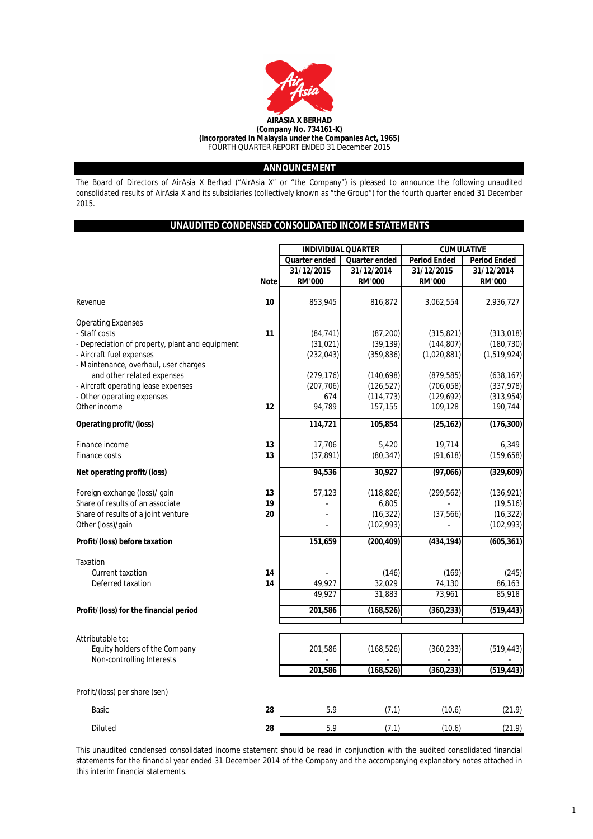

## **ANNOUNCEMENT**

The Board of Directors of AirAsia X Berhad ("AirAsia X" or "the Company") is pleased to announce the following unaudited consolidated results of AirAsia X and its subsidiaries (collectively known as "the Group") for the fourth quarter ended 31 December 2015.

## **UNAUDITED CONDENSED CONSOLIDATED INCOME STATEMENTS**

|             | <b>INDIVIDUAL QUARTER</b>        |                                                                                                             | <b>CUMULATIVE</b>                                                                                                                                                                      |                                                                                                                                                                         |  |
|-------------|----------------------------------|-------------------------------------------------------------------------------------------------------------|----------------------------------------------------------------------------------------------------------------------------------------------------------------------------------------|-------------------------------------------------------------------------------------------------------------------------------------------------------------------------|--|
|             | Quarter ended                    | Quarter ended                                                                                               | <b>Period Ended</b>                                                                                                                                                                    | <b>Period Ended</b>                                                                                                                                                     |  |
|             | 31/12/2015                       | 31/12/2014                                                                                                  | 31/12/2015                                                                                                                                                                             | 31/12/2014                                                                                                                                                              |  |
| <b>Note</b> | <b>RM'000</b>                    | <b>RM'000</b>                                                                                               | <b>RM'000</b>                                                                                                                                                                          | <b>RM'000</b>                                                                                                                                                           |  |
|             |                                  |                                                                                                             |                                                                                                                                                                                        |                                                                                                                                                                         |  |
|             |                                  |                                                                                                             |                                                                                                                                                                                        | 2,936,727                                                                                                                                                               |  |
|             |                                  |                                                                                                             |                                                                                                                                                                                        |                                                                                                                                                                         |  |
|             |                                  |                                                                                                             |                                                                                                                                                                                        | (313, 018)                                                                                                                                                              |  |
|             |                                  |                                                                                                             |                                                                                                                                                                                        | (180, 730)                                                                                                                                                              |  |
|             |                                  |                                                                                                             |                                                                                                                                                                                        | (1,519,924)                                                                                                                                                             |  |
|             |                                  |                                                                                                             |                                                                                                                                                                                        |                                                                                                                                                                         |  |
|             |                                  |                                                                                                             |                                                                                                                                                                                        | (638, 167)                                                                                                                                                              |  |
|             |                                  |                                                                                                             |                                                                                                                                                                                        | (337,978)                                                                                                                                                               |  |
|             | 674                              |                                                                                                             |                                                                                                                                                                                        | (313,954)                                                                                                                                                               |  |
| 12          | 94,789                           | 157,155                                                                                                     | 109,128                                                                                                                                                                                | 190,744                                                                                                                                                                 |  |
|             |                                  |                                                                                                             |                                                                                                                                                                                        | (176, 300)                                                                                                                                                              |  |
|             |                                  |                                                                                                             |                                                                                                                                                                                        |                                                                                                                                                                         |  |
| 13          | 17,706                           | 5,420                                                                                                       | 19,714                                                                                                                                                                                 | 6,349                                                                                                                                                                   |  |
| 13          | (37, 891)                        | (80, 347)                                                                                                   | (91, 618)                                                                                                                                                                              | (159, 658)                                                                                                                                                              |  |
|             | 94,536                           | 30,927                                                                                                      | (97,066)                                                                                                                                                                               | (329, 609)                                                                                                                                                              |  |
|             |                                  |                                                                                                             |                                                                                                                                                                                        |                                                                                                                                                                         |  |
|             |                                  |                                                                                                             |                                                                                                                                                                                        | (136, 921)                                                                                                                                                              |  |
|             |                                  |                                                                                                             |                                                                                                                                                                                        | (19, 516)                                                                                                                                                               |  |
|             |                                  |                                                                                                             |                                                                                                                                                                                        | (16, 322)<br>(102, 993)                                                                                                                                                 |  |
|             |                                  |                                                                                                             |                                                                                                                                                                                        |                                                                                                                                                                         |  |
|             | 151,659                          | (200, 409)                                                                                                  | (434, 194)                                                                                                                                                                             | (605, 361)                                                                                                                                                              |  |
|             |                                  |                                                                                                             |                                                                                                                                                                                        |                                                                                                                                                                         |  |
|             |                                  |                                                                                                             |                                                                                                                                                                                        | (245)                                                                                                                                                                   |  |
| 14          | 49,927                           | 32,029                                                                                                      | 74,130                                                                                                                                                                                 | 86,163                                                                                                                                                                  |  |
|             | 49,927                           | 31,883                                                                                                      | 73,961                                                                                                                                                                                 | 85,918                                                                                                                                                                  |  |
|             | 201,586                          | (168, 526)                                                                                                  | (360, 233)                                                                                                                                                                             | (519, 443)                                                                                                                                                              |  |
|             |                                  |                                                                                                             |                                                                                                                                                                                        |                                                                                                                                                                         |  |
|             |                                  |                                                                                                             |                                                                                                                                                                                        |                                                                                                                                                                         |  |
|             |                                  |                                                                                                             |                                                                                                                                                                                        | (519, 443)                                                                                                                                                              |  |
|             |                                  |                                                                                                             |                                                                                                                                                                                        |                                                                                                                                                                         |  |
|             | 201,586                          | (168, 526)                                                                                                  | (360, 233)                                                                                                                                                                             | (519, 443)                                                                                                                                                              |  |
|             |                                  |                                                                                                             |                                                                                                                                                                                        |                                                                                                                                                                         |  |
| 28          | 5.9                              | (7.1)                                                                                                       | (10.6)                                                                                                                                                                                 | (21.9)                                                                                                                                                                  |  |
| 28          | 5.9                              |                                                                                                             |                                                                                                                                                                                        | (21.9)                                                                                                                                                                  |  |
|             | 10<br>11<br>13<br>19<br>20<br>14 | 853,945<br>(84, 741)<br>(31, 021)<br>(232, 043)<br>(279, 176)<br>(207, 706)<br>114,721<br>57,123<br>201,586 | 816,872<br>(87, 200)<br>(39, 139)<br>(359, 836)<br>(140, 698)<br>(126, 527)<br>(114, 773)<br>105,854<br>(118, 826)<br>6,805<br>(16, 322)<br>(102, 993)<br>(146)<br>(168, 526)<br>(7.1) | 3,062,554<br>(315, 821)<br>(144, 807)<br>(1,020,881)<br>(879, 585)<br>(706, 058)<br>(129, 692)<br>(25, 162)<br>(299, 562)<br>(37, 566)<br>(169)<br>(360, 233)<br>(10.6) |  |

This unaudited condensed consolidated income statement should be read in conjunction with the audited consolidated financial statements for the financial year ended 31 December 2014 of the Company and the accompanying explanatory notes attached in this interim financial statements.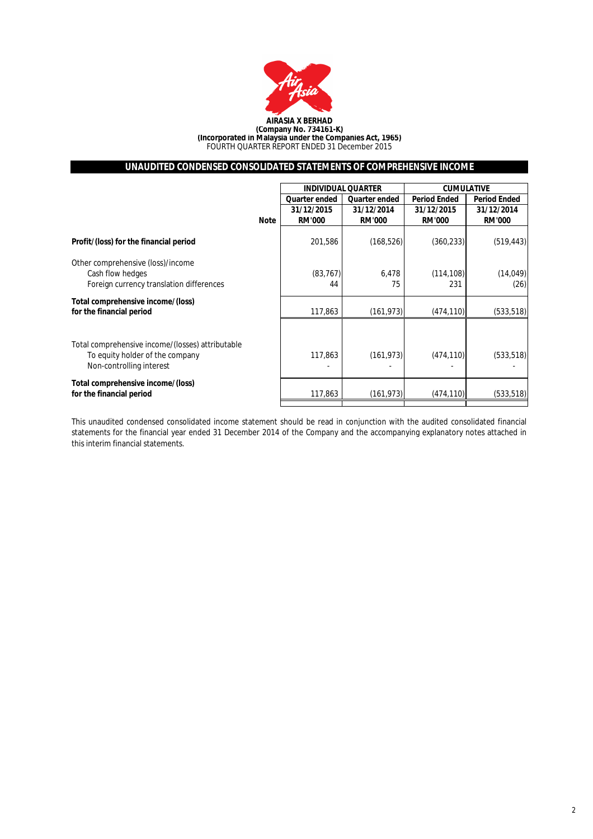

## **UNAUDITED CONDENSED CONSOLIDATED STATEMENTS OF COMPREHENSIVE INCOME**

|                                                  |             | <b>INDIVIDUAL QUARTER</b> |               | <b>CUMULATIVE</b>   |                     |  |
|--------------------------------------------------|-------------|---------------------------|---------------|---------------------|---------------------|--|
|                                                  |             | Quarter ended             | Quarter ended | <b>Period Ended</b> | <b>Period Ended</b> |  |
|                                                  |             | 31/12/2015                | 31/12/2014    | 31/12/2015          | 31/12/2014          |  |
|                                                  | <b>Note</b> | <b>RM'000</b>             | <b>RM'000</b> | <b>RM'000</b>       | <b>RM'000</b>       |  |
| Profit/(loss) for the financial period           |             | 201,586                   | (168, 526)    | (360, 233)          | (519, 443)          |  |
| Other comprehensive (loss)/income                |             |                           |               |                     |                     |  |
| Cash flow hedges                                 |             | (83, 767)                 | 6,478         | (114, 108)          | (14, 049)           |  |
| Foreign currency translation differences         |             | 44                        | 75            | 231                 | (26)                |  |
| Total comprehensive income/(loss)                |             |                           |               |                     |                     |  |
| for the financial period                         |             | 117,863                   | (161, 973)    | (474, 110)          | (533, 518)          |  |
|                                                  |             |                           |               |                     |                     |  |
| Total comprehensive income/(losses) attributable |             |                           |               |                     |                     |  |
| To equity holder of the company                  |             | 117,863                   | (161, 973)    | (474, 110)          | (533, 518)          |  |
| Non-controlling interest                         |             |                           |               |                     |                     |  |
| Total comprehensive income/(loss)                |             |                           |               |                     |                     |  |
| for the financial period                         |             | 117,863                   | (161, 973)    | (474, 110)          | (533, 518)          |  |
|                                                  |             |                           |               |                     |                     |  |

This unaudited condensed consolidated income statement should be read in conjunction with the audited consolidated financial statements for the financial year ended 31 December 2014 of the Company and the accompanying explanatory notes attached in this interim financial statements.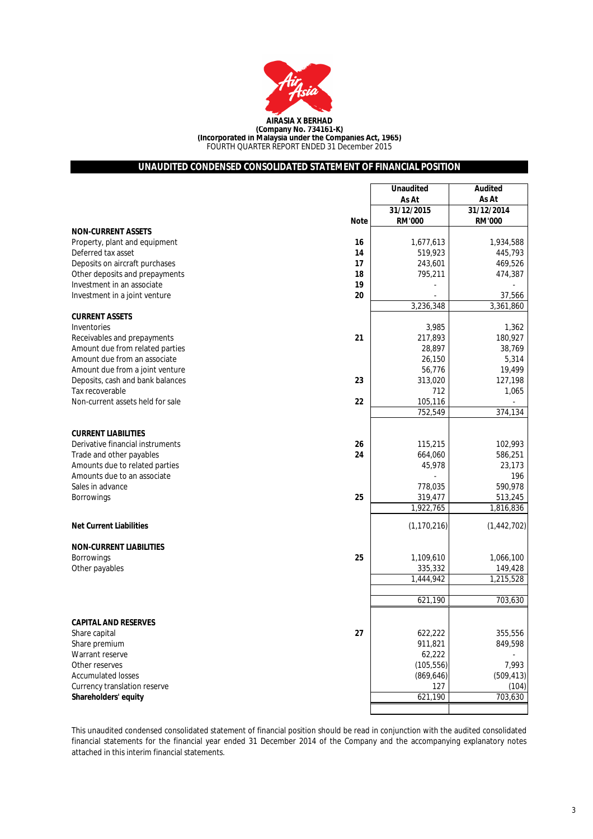

## **UNAUDITED CONDENSED CONSOLIDATED STATEMENT OF FINANCIAL POSITION**

|                                        | <b>Unaudited</b> | <b>Audited</b> |
|----------------------------------------|------------------|----------------|
|                                        | As At            | As At          |
|                                        | 31/12/2015       | 31/12/2014     |
| Note                                   | <b>RM'000</b>    | <b>RM'000</b>  |
| <b>NON-CURRENT ASSETS</b>              |                  |                |
| Property, plant and equipment<br>16    | 1,677,613        | 1,934,588      |
| Deferred tax asset<br>14               | 519,923          | 445,793        |
| Deposits on aircraft purchases<br>17   | 243,601          | 469,526        |
| Other deposits and prepayments<br>18   | 795,211          | 474,387        |
| 19<br>Investment in an associate       |                  |                |
| 20<br>Investment in a joint venture    |                  | 37,566         |
|                                        | 3,236,348        | 3,361,860      |
| <b>CURRENT ASSETS</b>                  |                  |                |
| Inventories                            | 3,985            | 1,362          |
| 21<br>Receivables and prepayments      | 217,893          | 180,927        |
| Amount due from related parties        | 28,897           | 38,769         |
| Amount due from an associate           | 26,150           | 5,314          |
| Amount due from a joint venture        | 56,776           | 19,499         |
| 23<br>Deposits, cash and bank balances | 313,020          | 127,198        |
| Tax recoverable                        | 712              | 1,065          |
| 22<br>Non-current assets held for sale | 105,116          |                |
|                                        | 752,549          | 374,134        |
|                                        |                  |                |
| <b>CURRENT LIABILITIES</b>             |                  |                |
| Derivative financial instruments<br>26 | 115,215          | 102,993        |
| 24<br>Trade and other payables         | 664,060          | 586,251        |
| Amounts due to related parties         | 45,978           | 23,173         |
| Amounts due to an associate            |                  | 196            |
| Sales in advance                       | 778,035          | 590,978        |
| 25<br><b>Borrowings</b>                | 319,477          | 513,245        |
|                                        | 1,922,765        | 1,816,836      |
|                                        |                  |                |
| <b>Net Current Liabilities</b>         | (1, 170, 216)    | (1,442,702)    |
|                                        |                  |                |
| <b>NON-CURRENT LIABILITIES</b>         |                  |                |
| 25<br><b>Borrowings</b>                | 1,109,610        | 1,066,100      |
| Other payables                         | 335,332          | 149,428        |
|                                        | 1,444,942        | 1,215,528      |
|                                        |                  |                |
|                                        | 621,190          | 703,630        |
|                                        |                  |                |
| <b>CAPITAL AND RESERVES</b>            |                  |                |
| Share capital<br>27                    | 622,222          | 355,556        |
| Share premium                          | 911,821          | 849,598        |
| Warrant reserve                        | 62,222           |                |
| Other reserves                         | (105, 556)       | 7,993          |
| <b>Accumulated losses</b>              | (869, 646)       | (509, 413)     |
| Currency translation reserve           | 127              | (104)          |
| Shareholders' equity                   | 621,190          | 703,630        |
|                                        |                  |                |

This unaudited condensed consolidated statement of financial position should be read in conjunction with the audited consolidated financial statements for the financial year ended 31 December 2014 of the Company and the accompanying explanatory notes attached in this interim financial statements.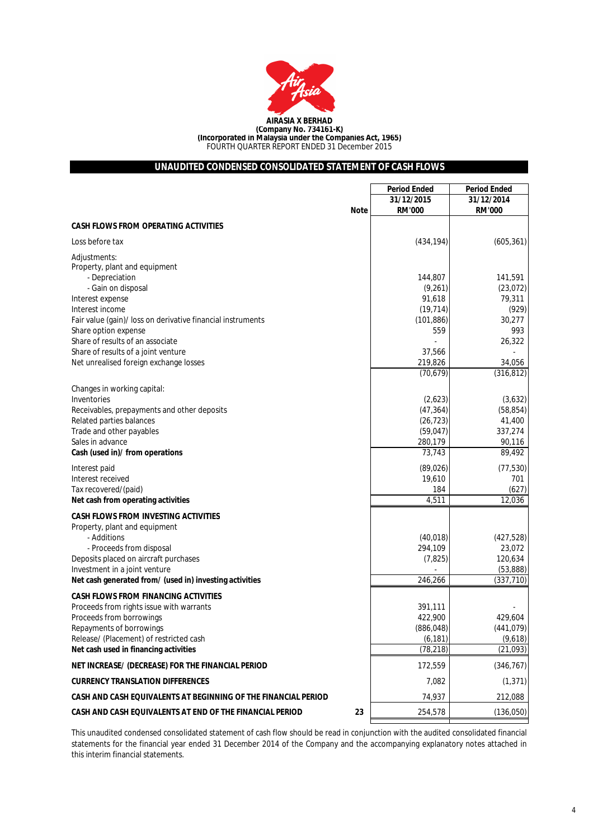

## **UNAUDITED CONDENSED CONSOLIDATED STATEMENT OF CASH FLOWS**

|                                                                                          | <b>Period Ended</b>    | <b>Period Ended</b>    |
|------------------------------------------------------------------------------------------|------------------------|------------------------|
|                                                                                          | 31/12/2015             | 31/12/2014             |
| <b>Note</b>                                                                              | <b>RM'000</b>          | <b>RM'000</b>          |
| <b>CASH FLOWS FROM OPERATING ACTIVITIES</b>                                              |                        |                        |
| Loss before tax                                                                          | (434, 194)             | (605, 361)             |
| Adjustments:<br>Property, plant and equipment                                            |                        |                        |
| - Depreciation<br>- Gain on disposal                                                     | 144,807<br>(9,261)     | 141,591<br>(23, 072)   |
| Interest expense                                                                         | 91,618                 | 79,311                 |
| Interest income                                                                          | (19, 714)              | (929)                  |
| Fair value (gain)/ loss on derivative financial instruments<br>Share option expense      | (101, 886)<br>559      | 30,277<br>993          |
| Share of results of an associate                                                         |                        | 26,322                 |
| Share of results of a joint venture                                                      | 37,566                 |                        |
| Net unrealised foreign exchange losses                                                   | 219,826                | 34,056                 |
|                                                                                          | (70, 679)              | (316, 812)             |
| Changes in working capital:                                                              |                        |                        |
| Inventories                                                                              | (2,623)                | (3,632)                |
| Receivables, prepayments and other deposits<br>Related parties balances                  | (47, 364)              | (58, 854)<br>41,400    |
| Trade and other payables                                                                 | (26, 723)<br>(59, 047) | 337,274                |
| Sales in advance                                                                         | 280,179                | 90,116                 |
| Cash (used in)/ from operations                                                          | 73,743                 | 89,492                 |
| Interest paid                                                                            | (89, 026)              | (77, 530)              |
| Interest received                                                                        | 19,610                 | 701                    |
| Tax recovered/(paid)                                                                     | 184                    | (627)                  |
| Net cash from operating activities                                                       | 4,511                  | 12,036                 |
| <b>CASH FLOWS FROM INVESTING ACTIVITIES</b>                                              |                        |                        |
| Property, plant and equipment                                                            |                        |                        |
| - Additions                                                                              | (40, 018)              | (427, 528)             |
| - Proceeds from disposal                                                                 | 294,109                | 23,072                 |
| Deposits placed on aircraft purchases                                                    | (7, 825)               | 120,634                |
| Investment in a joint venture<br>Net cash generated from/ (used in) investing activities | 246,266                | (53,888)<br>(337, 710) |
| <b>CASH FLOWS FROM FINANCING ACTIVITIES</b>                                              |                        |                        |
| Proceeds from rights issue with warrants                                                 | 391,111                |                        |
| Proceeds from borrowings                                                                 | 422,900                | 429,604                |
| Repayments of borrowings                                                                 | (886, 048)             | (441, 079)             |
| Release/ (Placement) of restricted cash                                                  | (6, 181)               | (9,618)                |
| Net cash used in financing activities                                                    | (78, 218)              | (21, 093)              |
| NET INCREASE/ (DECREASE) FOR THE FINANCIAL PERIOD                                        | 172,559                | (346, 767)             |
| <b>CURRENCY TRANSLATION DIFFERENCES</b>                                                  | 7,082                  | (1, 371)               |
| CASH AND CASH EQUIVALENTS AT BEGINNING OF THE FINANCIAL PERIOD                           | 74,937                 | 212,088                |
| CASH AND CASH EQUIVALENTS AT END OF THE FINANCIAL PERIOD<br>23                           | 254,578                | (136,050)              |

This unaudited condensed consolidated statement of cash flow should be read in conjunction with the audited consolidated financial statements for the financial year ended 31 December 2014 of the Company and the accompanying explanatory notes attached in this interim financial statements.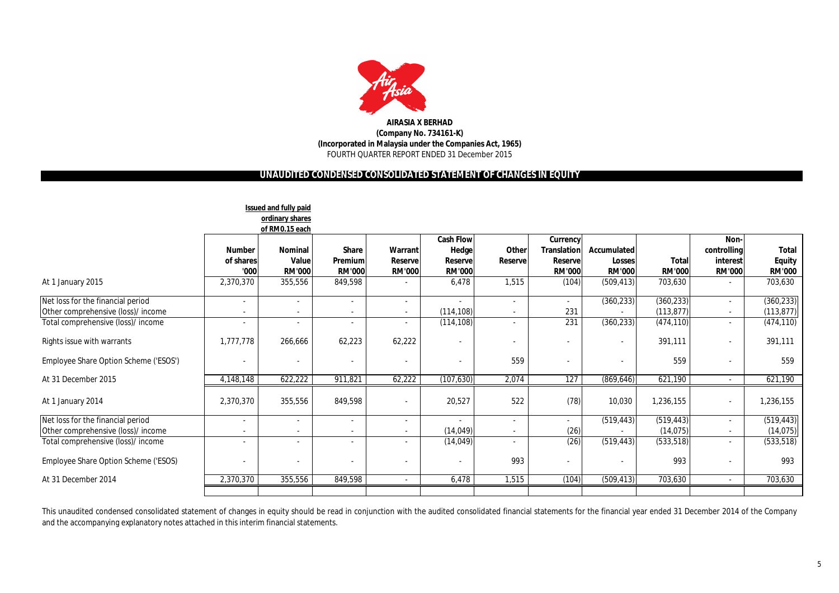

## **UNAUDITED CONDENSED CONSOLIDATED STATEMENT OF CHANGES IN EQUITY**

|                                                                         |                                                      | Issued and fully paid<br>ordinary shares<br>of RM0.15 each |                                          |                                             |                                                               |                          |                                                            |                                               |                               |                                                  |                                                |
|-------------------------------------------------------------------------|------------------------------------------------------|------------------------------------------------------------|------------------------------------------|---------------------------------------------|---------------------------------------------------------------|--------------------------|------------------------------------------------------------|-----------------------------------------------|-------------------------------|--------------------------------------------------|------------------------------------------------|
|                                                                         | <b>Number</b><br>of shares<br>'000                   | <b>Nominal</b><br>Value<br><b>RM'000</b>                   | <b>Share</b><br>Premium<br><b>RM'000</b> | Warrant<br><b>Reservel</b><br><b>RM'000</b> | <b>Cash Flow</b><br><b>Hedge</b><br>Reservel<br><b>RM'000</b> | Other<br>Reserve         | Currency<br><b>Translation</b><br>Reserve<br><b>RM'000</b> | Accumulated<br><b>Losses</b><br><b>RM'000</b> | <b>Total</b><br><b>RM'000</b> | Non-<br>controlling<br>interest<br><b>RM'000</b> | <b>Total</b><br><b>Equity</b><br><b>RM'000</b> |
| At 1 January 2015                                                       | 2,370,370                                            | 355,556                                                    | 849,598                                  |                                             | 6,478                                                         | 1,515                    | (104)                                                      | (509, 413)                                    | 703,630                       |                                                  | 703,630                                        |
| Net loss for the financial period<br>Other comprehensive (loss)/ income | $\overline{\phantom{a}}$<br>$\overline{\phantom{a}}$ | $\overline{\phantom{a}}$                                   |                                          | $\sim$<br>$\overline{\phantom{a}}$          | (114, 108)                                                    | $\overline{\phantom{a}}$ | $\sim$<br>231                                              | (360, 233)                                    | (360, 233)<br>(113, 877)      | $\overline{\phantom{a}}$                         | (360, 233)<br>(113, 877)                       |
| Total comprehensive (loss)/ income                                      | $\overline{\phantom{a}}$                             | $\overline{\phantom{a}}$                                   | $\overline{\phantom{a}}$                 | $\sim$                                      | (114, 108)                                                    | $\overline{\phantom{a}}$ | 231                                                        | (360, 233)                                    | (474, 110)                    | $\overline{\phantom{a}}$                         | (474, 110)                                     |
| Rights issue with warrants                                              | 1,777,778                                            | 266,666                                                    | 62,223                                   | 62,222                                      |                                                               | $\overline{\phantom{a}}$ |                                                            |                                               | 391,111                       |                                                  | 391,111                                        |
| Employee Share Option Scheme ('ESOS')                                   |                                                      | $\overline{\phantom{a}}$                                   |                                          |                                             |                                                               | 559                      |                                                            |                                               | 559                           |                                                  | 559                                            |
| At 31 December 2015                                                     | 4,148,148                                            | 622,222                                                    | 911,821                                  | 62,222                                      | (107, 630)                                                    | 2,074                    | 127                                                        | (869, 646)                                    | 621,190                       | $\sim$                                           | 621,190                                        |
| At 1 January 2014                                                       | 2,370,370                                            | 355,556                                                    | 849,598                                  |                                             | 20,527                                                        | 522                      | (78)                                                       | 10,030                                        | 1,236,155                     |                                                  | 1,236,155                                      |
| Net loss for the financial period                                       | $\overline{\phantom{a}}$                             | $\blacksquare$                                             | $\overline{\phantom{a}}$                 | $\overline{\phantom{a}}$                    |                                                               | $\blacksquare$           | $\overline{\phantom{a}}$                                   | (519, 443)                                    | (519, 443)                    | $\overline{\phantom{0}}$                         | (519, 443)                                     |
| Other comprehensive (loss)/ income                                      | $\overline{\phantom{a}}$                             | $\overline{\phantom{a}}$                                   |                                          | $\overline{\phantom{a}}$                    | (14, 049)                                                     | $\overline{\phantom{a}}$ | (26)                                                       |                                               | (14, 075)                     | $\overline{\phantom{0}}$                         | (14, 075)                                      |
| Total comprehensive (loss)/ income                                      | $\overline{\phantom{a}}$                             |                                                            |                                          |                                             | (14,049)                                                      |                          | (26)                                                       | (519, 443)                                    | (533, 518)                    | -                                                | (533, 518)                                     |
| Employee Share Option Scheme ('ESOS)                                    |                                                      | $\overline{\phantom{a}}$                                   |                                          |                                             |                                                               | 993                      |                                                            |                                               | 993                           |                                                  | 993                                            |
| At 31 December 2014                                                     | 2,370,370                                            | 355,556                                                    | 849,598                                  | $\sim$                                      | 6,478                                                         | 1,515                    | (104)                                                      | (509, 413)                                    | 703,630                       | $\sim$                                           | 703,630                                        |
|                                                                         |                                                      |                                                            |                                          |                                             |                                                               |                          |                                                            |                                               |                               |                                                  |                                                |

This unaudited condensed consolidated statement of changes in equity should be read in conjunction with the audited consolidated financial statements for the financial year ended 31 December 2014 of the Company and the accompanying explanatory notes attached in this interim financial statements.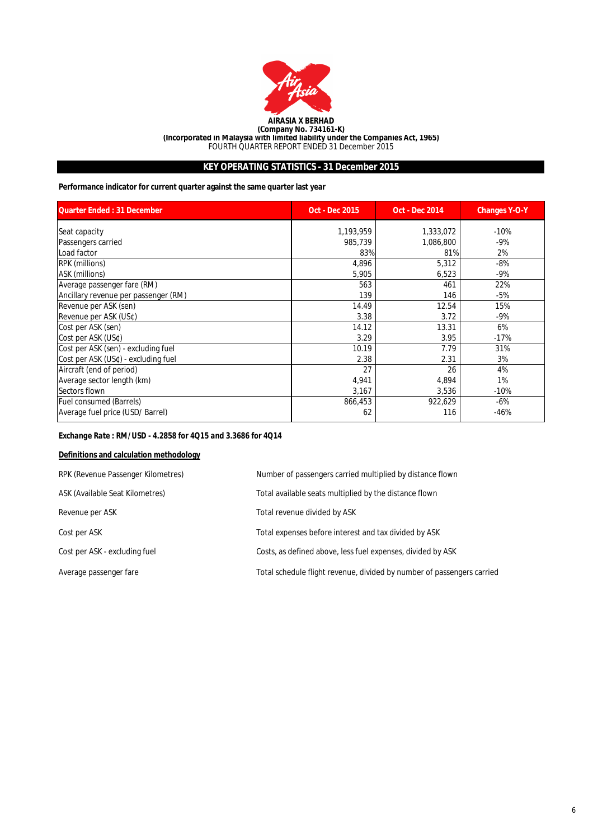

## **KEY OPERATING STATISTICS - 31 December 2015**

**Performance indicator for current quarter against the same quarter last year**

| <b>Quarter Ended: 31 December</b>    | <b>Oct - Dec 2015</b> | <b>Oct - Dec 2014</b> | <b>Changes Y-O-Y</b> |
|--------------------------------------|-----------------------|-----------------------|----------------------|
| Seat capacity                        | 1,193,959             | 1,333,072             | $-10%$               |
| Passengers carried                   | 985,739               | 1,086,800             | -9%                  |
| Load factor                          | 83%                   | 81%                   | 2%                   |
| <b>RPK</b> (millions)                | 4,896                 | 5,312                 | $-8%$                |
| ASK (millions)                       | 5,905                 | 6,523                 | $-9%$                |
| Average passenger fare (RM)          | 563                   | 461                   | 22%                  |
| Ancillary revenue per passenger (RM) | 139                   | 146                   | -5%                  |
| Revenue per ASK (sen)                | 14.49                 | 12.54                 | 15%                  |
| Revenue per ASK (US¢)                | 3.38                  | 3.72                  | $-9%$                |
| Cost per ASK (sen)                   | 14.12                 | 13.31                 | 6%                   |
| Cost per ASK (US¢)                   | 3.29                  | 3.95                  | $-17%$               |
| Cost per ASK (sen) - excluding fuel  | 10.19                 | 7.79                  | 31%                  |
| Cost per ASK (US¢) - excluding fuel  | 2.38                  | 2.31                  | 3%                   |
| Aircraft (end of period)             | 27                    | 26                    | 4%                   |
| Average sector length (km)           | 4,941                 | 4,894                 | 1%                   |
| Sectors flown                        | 3,167                 | 3,536                 | $-10%$               |
| <b>Fuel consumed (Barrels)</b>       | 866,453               | 922,629               | $-6%$                |
| Average fuel price (USD/ Barrel)     | 62                    | 116                   | $-46%$               |

## *Exchange Rate : RM/USD - 4.2858 for 4Q15 and 3.3686 for 4Q14*

## **Definitions and calculation methodology**

| RPK (Revenue Passenger Kilometres) | Number of passengers carried multiplied by distance flown              |
|------------------------------------|------------------------------------------------------------------------|
| ASK (Available Seat Kilometres)    | Total available seats multiplied by the distance flown                 |
| Revenue per ASK                    | Total revenue divided by ASK                                           |
| Cost per ASK                       | Total expenses before interest and tax divided by ASK                  |
| Cost per ASK - excluding fuel      | Costs, as defined above, less fuel expenses, divided by ASK            |
| Average passenger fare             | Total schedule flight revenue, divided by number of passengers carried |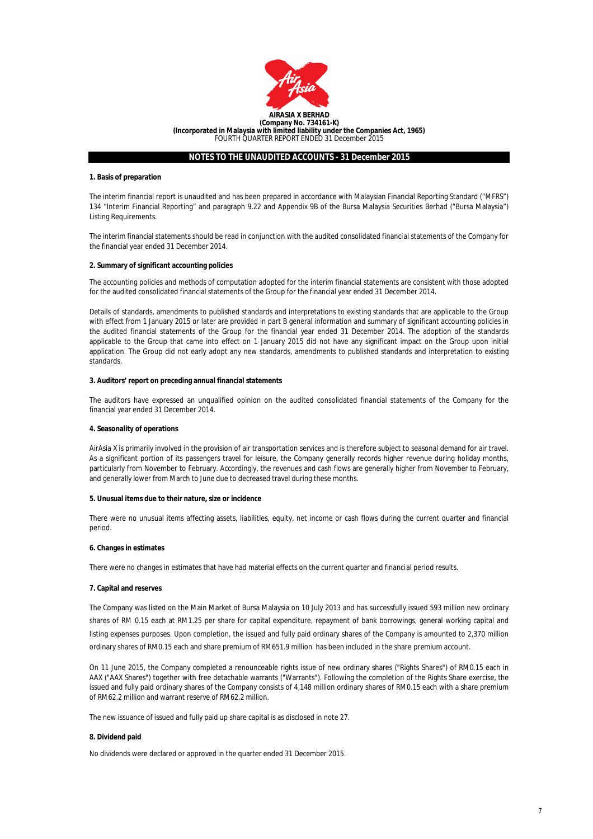

#### **1. Basis of preparation**

The interim financial report is unaudited and has been prepared in accordance with Malaysian Financial Reporting Standard ("MFRS") 134 "Interim Financial Reporting" and paragraph 9.22 and Appendix 9B of the Bursa Malaysia Securities Berhad ("Bursa Malaysia") Listing Requirements.

The interim financial statements should be read in conjunction with the audited consolidated financial statements of the Company for the financial year ended 31 December 2014.

#### **2. Summary of significant accounting policies**

The accounting policies and methods of computation adopted for the interim financial statements are consistent with those adopted for the audited consolidated financial statements of the Group for the financial year ended 31 December 2014.

Details of standards, amendments to published standards and interpretations to existing standards that are applicable to the Group with effect from 1 January 2015 or later are provided in part B general information and summary of significant accounting policies in the audited financial statements of the Group for the financial year ended 31 December 2014. The adoption of the standards applicable to the Group that came into effect on 1 January 2015 did not have any significant impact on the Group upon initial application. The Group did not early adopt any new standards, amendments to published standards and interpretation to existing standards.

#### **3. Auditors' report on preceding annual financial statements**

The auditors have expressed an unqualified opinion on the audited consolidated financial statements of the Company for the financial year ended 31 December 2014.

#### **4. Seasonality of operations**

AirAsia X is primarily involved in the provision of air transportation services and is therefore subject to seasonal demand for air travel. As a significant portion of its passengers travel for leisure, the Company generally records higher revenue during holiday months, particularly from November to February. Accordingly, the revenues and cash flows are generally higher from November to February, and generally lower from March to June due to decreased travel during these months.

#### **5. Unusual items due to their nature, size or incidence**

There were no unusual items affecting assets, liabilities, equity, net income or cash flows during the current quarter and financial period.

### **6. Changes in estimates**

There were no changes in estimates that have had material effects on the current quarter and financial period results.

#### **7. Capital and reserves**

The Company was listed on the Main Market of Bursa Malaysia on 10 July 2013 and has successfully issued 593 million new ordinary shares of RM 0.15 each at RM1.25 per share for capital expenditure, repayment of bank borrowings, general working capital and listing expenses purposes. Upon completion, the issued and fully paid ordinary shares of the Company is amounted to 2,370 million ordinary shares of RM0.15 each and share premium of RM651.9 million has been included in the share premium account.

On 11 June 2015, the Company completed a renounceable rights issue of new ordinary shares ("Rights Shares") of RM0.15 each in AAX ("AAX Shares") together with free detachable warrants ("Warrants"). Following the completion of the Rights Share exercise, the issued and fully paid ordinary shares of the Company consists of 4,148 million ordinary shares of RM0.15 each with a share premium of RM62.2 million and warrant reserve of RM62.2 million.

The new issuance of issued and fully paid up share capital is as disclosed in note 27.

#### **8. Dividend paid**

No dividends were declared or approved in the quarter ended 31 December 2015.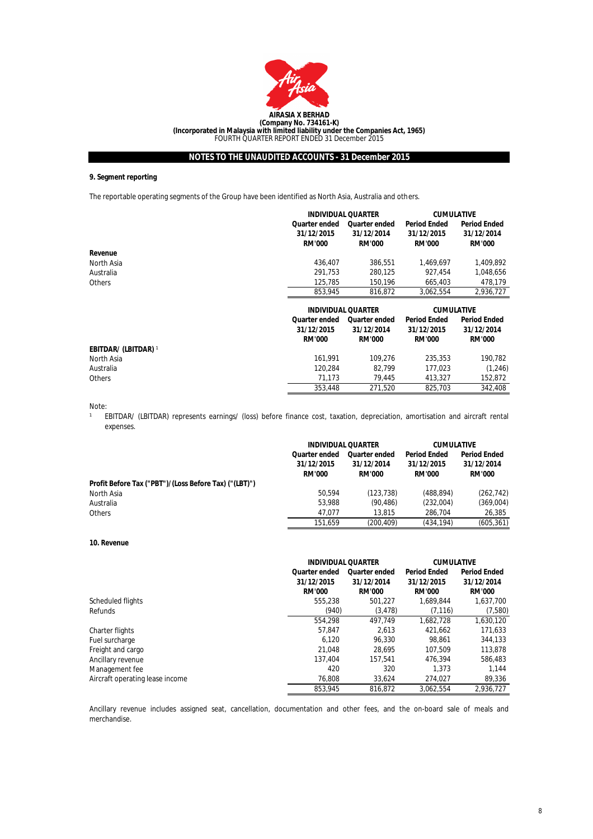

## **9. Segment reporting**

The reportable operating segments of the Group have been identified as North Asia, Australia and others.

|                             |                                                     | <b>INDIVIDUAL QUARTER</b>                           |                                                    | <b>CUMULATIVE</b>                                  |  |
|-----------------------------|-----------------------------------------------------|-----------------------------------------------------|----------------------------------------------------|----------------------------------------------------|--|
|                             | <b>Quarter ended</b><br>31/12/2015<br><b>RM'000</b> | <b>Quarter ended</b><br>31/12/2014<br><b>RM'000</b> | <b>Period Ended</b><br>31/12/2015<br><b>RM'000</b> | <b>Period Ended</b><br>31/12/2014<br><b>RM'000</b> |  |
| Revenue                     |                                                     |                                                     |                                                    |                                                    |  |
| North Asia                  | 436,407                                             | 386,551                                             | 1,469,697                                          | 1,409,892                                          |  |
| Australia                   | 291,753                                             | 280,125                                             | 927,454                                            | 1,048,656                                          |  |
| <b>Others</b>               | 125.785                                             | 150.196                                             | 665.403                                            | 478.179                                            |  |
|                             | 853.945                                             | 816.872                                             | 3,062,554                                          | 2,936,727                                          |  |
|                             |                                                     |                                                     |                                                    |                                                    |  |
|                             |                                                     | <b>INDIVIDUAL QUARTER</b>                           | <b>CUMULATIVE</b>                                  |                                                    |  |
|                             | <b>Quarter ended</b><br>31/12/2015<br><b>RM'000</b> | <b>Quarter ended</b><br>31/12/2014<br><b>RM'000</b> | <b>Period Ended</b><br>31/12/2015<br><b>RM'000</b> | <b>Period Ended</b><br>31/12/2014<br><b>RM'000</b> |  |
| <b>EBITDAR/ (LBITDAR)</b> 1 |                                                     |                                                     |                                                    |                                                    |  |
| North Asia                  | 161,991                                             | 109.276                                             | 235,353                                            | 190,782                                            |  |
| Australia                   | 120.284                                             | 82.799                                              | 177,023                                            | (1,246)                                            |  |
| Others                      | 71.173                                              | 79.445                                              | 413.327                                            | 152,872                                            |  |

Note:

 $\mathbf{1}$ EBITDAR/ (LBITDAR) represents earnings/ (loss) before finance cost, taxation, depreciation, amortisation and aircraft rental expenses.

|                                                       |                      | <b>INDIVIDUAL QUARTER</b> |                     | <b>CUMULATIVE</b>   |  |
|-------------------------------------------------------|----------------------|---------------------------|---------------------|---------------------|--|
|                                                       | <b>Quarter ended</b> | <b>Quarter ended</b>      | <b>Period Ended</b> | <b>Period Ended</b> |  |
|                                                       | 31/12/2015           | 31/12/2014                | 31/12/2015          | 31/12/2014          |  |
|                                                       | <b>RM'000</b>        | <b>RM'000</b>             | <b>RM'000</b>       | <b>RM'000</b>       |  |
| Profit Before Tax ("PBT")/(Loss Before Tax) ("(LBT)") |                      |                           |                     |                     |  |
| North Asia                                            | 50.594               | (123,738)                 | (488, 894)          | (262, 742)          |  |
| Australia                                             | 53,988               | (90.486)                  | (232,004)           | (369,004)           |  |
| <b>Others</b>                                         | 47.077               | 13,815                    | 286.704             | 26.385              |  |
|                                                       | 151.659              | (200.409)                 | (434.194)           | (605, 361)          |  |

#### **10. Revenue**

|                                 |                      | <b>INDIVIDUAL QUARTER</b> |                     | <b>CUMULATIVE</b>   |  |
|---------------------------------|----------------------|---------------------------|---------------------|---------------------|--|
|                                 | <b>Quarter ended</b> | Quarter ended             | <b>Period Ended</b> | <b>Period Ended</b> |  |
|                                 | 31/12/2015           | 31/12/2014                | 31/12/2015          | 31/12/2014          |  |
|                                 | <b>RM'000</b>        | <b>RM'000</b>             | <b>RM'000</b>       | <b>RM'000</b>       |  |
| Scheduled flights               | 555.238              | 501.227                   | 1.689.844           | 1,637,700           |  |
| Refunds                         | (940)                | (3, 478)                  | (7, 116)            | (7,580)             |  |
|                                 | 554.298              | 497.749                   | 1.682.728           | 1,630,120           |  |
| Charter flights                 | 57.847               | 2.613                     | 421.662             | 171,633             |  |
| Fuel surcharge                  | 6.120                | 96.330                    | 98.861              | 344,133             |  |
| Freight and cargo               | 21.048               | 28.695                    | 107.509             | 113,878             |  |
| Ancillary revenue               | 137.404              | 157.541                   | 476.394             | 586.483             |  |
| Management fee                  | 420                  | 320                       | 1.373               | 1.144               |  |
| Aircraft operating lease income | 76.808               | 33.624                    | 274.027             | 89,336              |  |
|                                 | 853.945              | 816.872                   | 3.062.554           | 2.936.727           |  |

Ancillary revenue includes assigned seat, cancellation, documentation and other fees, and the on-board sale of meals and merchandise.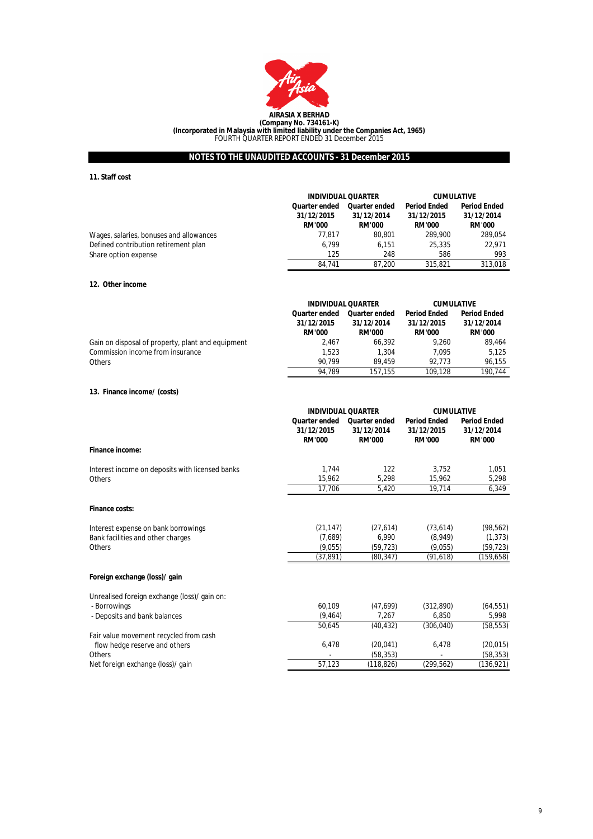

## **11. Staff cost**

|                                         | <b>INDIVIDUAL QUARTER</b>   |                             | <b>CUMULATIVE</b>           |                             |
|-----------------------------------------|-----------------------------|-----------------------------|-----------------------------|-----------------------------|
|                                         | Quarter ended               | <b>Quarter ended</b>        | <b>Period Ended</b>         | <b>Period Ended</b>         |
|                                         | 31/12/2015<br><b>RM'000</b> | 31/12/2014<br><b>RM'000</b> | 31/12/2015<br><b>RM'000</b> | 31/12/2014<br><b>RM'000</b> |
|                                         |                             |                             |                             |                             |
| Wages, salaries, bonuses and allowances | 77.817                      | 80.801                      | 289.900                     | 289.054                     |
| Defined contribution retirement plan    | 6.799                       | 6.151                       | 25.335                      | 22.971                      |
| Share option expense                    | 125                         | 248                         | 586                         | 993                         |
|                                         | 84.741                      | 87.200                      | 315,821                     | 313.018                     |

#### **12. Other income**

|                                                   | <b>INDIVIDUAL QUARTER</b> |               | <b>CUMULATIVE</b>   |                     |
|---------------------------------------------------|---------------------------|---------------|---------------------|---------------------|
|                                                   | Quarter ended             | Quarter ended | <b>Period Ended</b> | <b>Period Ended</b> |
|                                                   | 31/12/2015                | 31/12/2014    | 31/12/2015          | 31/12/2014          |
|                                                   | <b>RM'000</b>             | <b>RM'000</b> | <b>RM'000</b>       | <b>RM'000</b>       |
| Gain on disposal of property, plant and equipment | 2.467                     | 66.392        | 9.260               | 89.464              |
| Commission income from insurance                  | 1.523                     | 1.304         | 7.095               | 5.125               |
| <b>Others</b>                                     | 90.799                    | 89.459        | 92.773              | 96.155              |
|                                                   | 94.789                    | 157.155       | 109.128             | 190.744             |

#### **13. Finance income/ (costs)**

|                                                 | <b>INDIVIDUAL QUARTER</b>                           |                                                     | <b>CUMULATIVE</b>                                  |                                                    |
|-------------------------------------------------|-----------------------------------------------------|-----------------------------------------------------|----------------------------------------------------|----------------------------------------------------|
|                                                 | <b>Quarter ended</b><br>31/12/2015<br><b>RM'000</b> | <b>Quarter ended</b><br>31/12/2014<br><b>RM'000</b> | <b>Period Ended</b><br>31/12/2015<br><b>RM'000</b> | <b>Period Ended</b><br>31/12/2014<br><b>RM'000</b> |
| <b>Finance income:</b>                          |                                                     |                                                     |                                                    |                                                    |
| Interest income on deposits with licensed banks | 1.744                                               | 122                                                 | 3.752                                              | 1,051                                              |
| <b>Others</b>                                   | 15.962                                              | 5,298                                               | 15,962                                             | 5,298                                              |
|                                                 | 17.706                                              | 5,420                                               | 19,714                                             | 6,349                                              |
| <b>Finance costs:</b>                           |                                                     |                                                     |                                                    |                                                    |
| Interest expense on bank borrowings             | (21, 147)                                           | (27, 614)                                           | (73, 614)                                          | (98, 562)                                          |
| Bank facilities and other charges               | (7,689)                                             | 6,990                                               | (8,949)                                            | (1, 373)                                           |
| Others                                          | (9,055)                                             | (59, 723)                                           | (9,055)                                            | (59, 723)                                          |
|                                                 | (37, 891)                                           | (80, 347)                                           | (91, 618)                                          | (159, 658)                                         |
| Foreign exchange (loss)/ gain                   |                                                     |                                                     |                                                    |                                                    |
| Unrealised foreign exchange (loss)/ gain on:    |                                                     |                                                     |                                                    |                                                    |
| - Borrowings                                    | 60.109                                              | (47, 699)                                           | (312,890)                                          | (64, 551)                                          |
| - Deposits and bank balances                    | (9, 464)                                            | 7.267                                               | 6.850                                              | 5,998                                              |
|                                                 | 50,645                                              | (40,432)                                            | (306, 040)                                         | (58, 553)                                          |
| Fair value movement recycled from cash          |                                                     |                                                     |                                                    |                                                    |
| flow hedge reserve and others                   | 6,478                                               | (20, 041)                                           | 6,478                                              | (20, 015)                                          |
| Others                                          |                                                     | (58, 353)                                           |                                                    | (58, 353)                                          |
| Net foreign exchange (loss)/ gain               | 57,123                                              | (118,826)                                           | (299.562)                                          | (136, 921)                                         |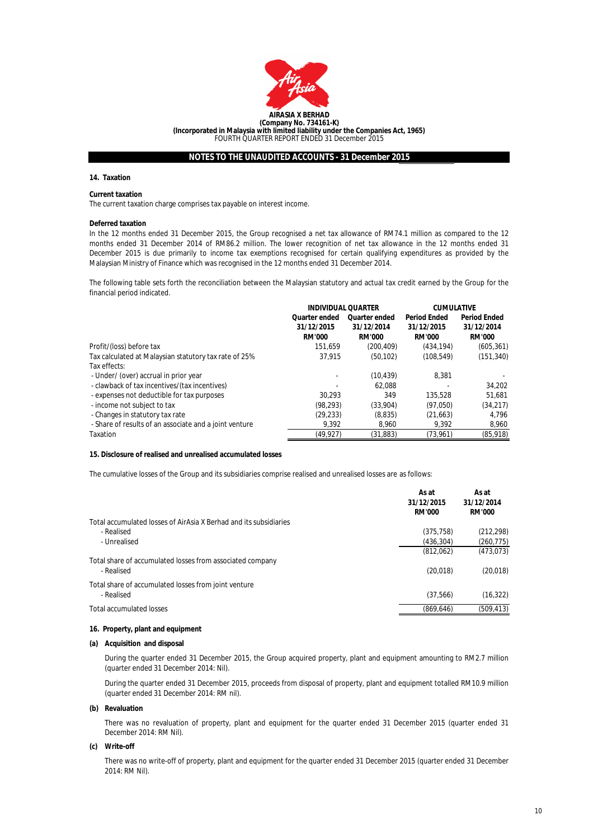

#### **14. Taxation**

#### **Current taxation**

The current taxation charge comprises tax payable on interest income.

#### **Deferred taxation**

In the 12 months ended 31 December 2015, the Group recognised a net tax allowance of RM74.1 million as compared to the 12 months ended 31 December 2014 of RM86.2 million. The lower recognition of net tax allowance in the 12 months ended 31 December 2015 is due primarily to income tax exemptions recognised for certain qualifying expenditures as provided by the Malaysian Ministry of Finance which was recognised in the 12 months ended 31 December 2014.

The following table sets forth the reconciliation between the Malaysian statutory and actual tax credit earned by the Group for the financial period indicated.

|                                                        | <b>INDIVIDUAL QUARTER</b> |                      | <b>CUMULATIVE</b>   |                     |
|--------------------------------------------------------|---------------------------|----------------------|---------------------|---------------------|
|                                                        | <b>Quarter ended</b>      | <b>Quarter ended</b> | <b>Period Ended</b> | <b>Period Ended</b> |
|                                                        | 31/12/2015                | 31/12/2014           | 31/12/2015          | 31/12/2014          |
|                                                        | <b>RM'000</b>             | <b>RM'000</b>        | <b>RM'000</b>       | <b>RM'000</b>       |
| Profit/(loss) before tax                               | 151.659                   | (200.409)            | (434.194)           | (605, 361)          |
| Tax calculated at Malaysian statutory tax rate of 25%  | 37.915                    | (50, 102)            | (108, 549)          | (151, 340)          |
| Tax effects:                                           |                           |                      |                     |                     |
| - Under/ (over) accrual in prior year                  |                           | (10, 439)            | 8.381               |                     |
| - clawback of tax incentives/(tax incentives)          |                           | 62.088               |                     | 34.202              |
| - expenses not deductible for tax purposes             | 30.293                    | 349                  | 135,528             | 51.681              |
| - income not subject to tax                            | (98, 293)                 | (33.904)             | (97,050)            | (34, 217)           |
| - Changes in statutory tax rate                        | (29, 233)                 | (8,835)              | (21,663)            | 4.796               |
| - Share of results of an associate and a joint venture | 9.392                     | 8.960                | 9.392               | 8,960               |
| Taxation                                               | (49,927)                  | (31,883)             | (73,961)            | (85, 918)           |

## **15. Disclosure of realised and unrealised accumulated losses**

The cumulative losses of the Group and its subsidiaries comprise realised and unrealised losses are as follows:

|                                                                         | As at<br>31/12/2015<br><b>RM'000</b> | As at<br>31/12/2014<br><b>RM'000</b> |
|-------------------------------------------------------------------------|--------------------------------------|--------------------------------------|
| Total accumulated losses of AirAsia X Berhad and its subsidiaries       |                                      |                                      |
| - Realised                                                              | (375, 758)                           | (212, 298)                           |
| - Unrealised                                                            | (436.304)                            | (260, 775)                           |
|                                                                         | (812,062)                            | (473, 073)                           |
| Total share of accumulated losses from associated company<br>- Realised | (20, 018)                            | (20, 018)                            |
| Total share of accumulated losses from joint venture<br>- Realised      | (37, 566)                            | (16, 322)                            |
| <b>Total accumulated losses</b>                                         | (869, 646)                           | (509,413)                            |
|                                                                         |                                      |                                      |

#### **16. Property, plant and equipment**

#### **(a) Acquisition and disposal**

During the quarter ended 31 December 2015, the Group acquired property, plant and equipment amounting to RM2.7 million (quarter ended 31 December 2014: Nil).

During the quarter ended 31 December 2015, proceeds from disposal of property, plant and equipment totalled RM10.9 million (quarter ended 31 December 2014: RM nil).

### **(b) Revaluation**

There was no revaluation of property, plant and equipment for the quarter ended 31 December 2015 (quarter ended 31 December 2014: RM Nil).

## **(c) Write-off**

There was no write-off of property, plant and equipment for the quarter ended 31 December 2015 (quarter ended 31 December 2014: RM Nil).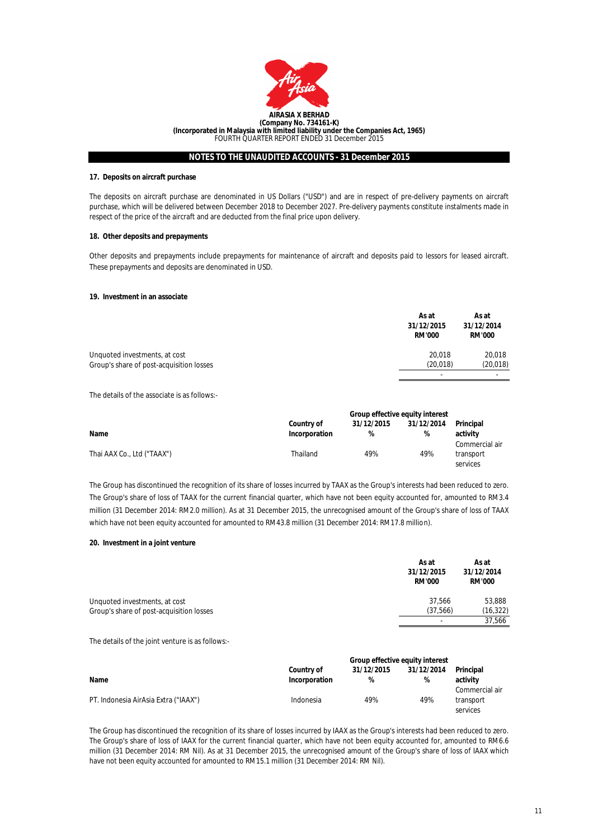

#### **17. Deposits on aircraft purchase**

The deposits on aircraft purchase are denominated in US Dollars ("USD") and are in respect of pre-delivery payments on aircraft purchase, which will be delivered between December 2018 to December 2027. Pre-delivery payments constitute instalments made in respect of the price of the aircraft and are deducted from the final price upon delivery.

#### **18. Other deposits and prepayments**

Other deposits and prepayments include prepayments for maintenance of aircraft and deposits paid to lessors for leased aircraft. These prepayments and deposits are denominated in USD.

#### **19. Investment in an associate**

|                                          | As at<br>31/12/2015<br><b>RM'000</b> | As at<br>31/12/2014<br><b>RM'000</b> |
|------------------------------------------|--------------------------------------|--------------------------------------|
| Unquoted investments, at cost            | 20.018                               | 20.018                               |
| Group's share of post-acquisition losses | (20.018)                             | (20, 018)                            |
|                                          | $\overline{\phantom{a}}$             | $\overline{\phantom{a}}$             |

The details of the associate is as follows:-

|                            | Group effective equity interest    |                 |                 |                                         |
|----------------------------|------------------------------------|-----------------|-----------------|-----------------------------------------|
| Name                       | <b>Country of</b><br>Incorporation | 31/12/2015<br>% | 31/12/2014<br>% | Principal<br>activity                   |
| Thai AAX Co., Ltd ("TAAX") | Thailand                           | 49%             | 49%             | Commercial air<br>transport<br>services |

The Group has discontinued the recognition of its share of losses incurred by TAAX as the Group's interests had been reduced to zero. The Group's share of loss of TAAX for the current financial quarter, which have not been equity accounted for, amounted to RM3.4 million (31 December 2014: RM2.0 million). As at 31 December 2015, the unrecognised amount of the Group's share of loss of TAAX which have not been equity accounted for amounted to RM43.8 million (31 December 2014: RM17.8 million).

#### **20. Investment in a joint venture**

|                                          | As at<br>31/12/2015<br><b>RM'000</b> | As at<br>31/12/2014<br><b>RM'000</b> |
|------------------------------------------|--------------------------------------|--------------------------------------|
| Unquoted investments, at cost            | 37.566                               | 53,888                               |
| Group's share of post-acquisition losses | (37, 566)                            | (16, 322)                            |
|                                          | $\sim$                               | 37,566                               |

The details of the joint venture is as follows:-

|                                      | Group effective equity interest |            |            |                |
|--------------------------------------|---------------------------------|------------|------------|----------------|
|                                      | <b>Country of</b>               | 31/12/2015 | 31/12/2014 | Principal      |
| Name                                 | Incorporation                   | %          | %          | activity       |
|                                      |                                 |            |            | Commercial air |
| PT. Indonesia AirAsia Extra ("IAAX") | Indonesia                       | 49%        | 49%        | transport      |
|                                      |                                 |            |            | services       |

The Group has discontinued the recognition of its share of losses incurred by IAAX as the Group's interests had been reduced to zero. The Group's share of loss of IAAX for the current financial quarter, which have not been equity accounted for, amounted to RM6.6 million (31 December 2014: RM Nil). As at 31 December 2015, the unrecognised amount of the Group's share of loss of IAAX which have not been equity accounted for amounted to RM15.1 million (31 December 2014: RM Nil).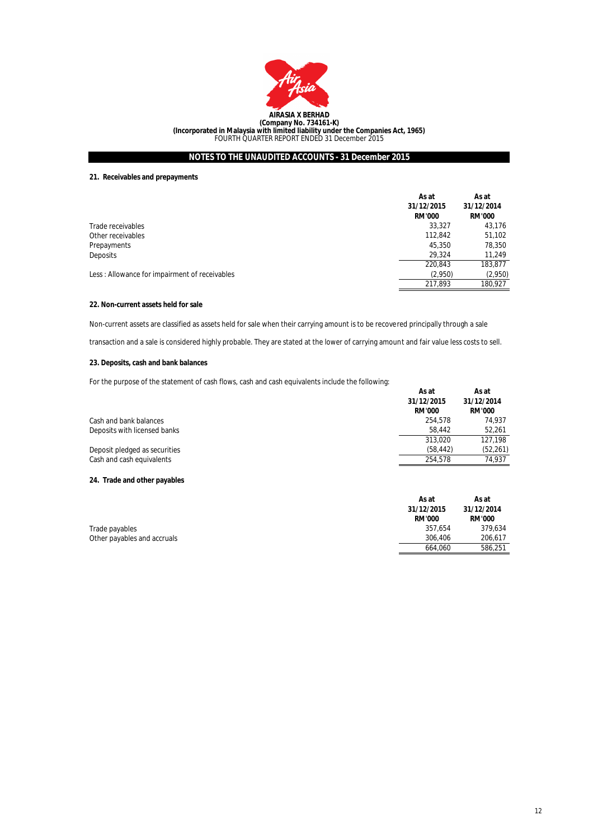

## **21. Receivables and prepayments**

|                                               | As at<br>31/12/2015<br><b>RM'000</b> | As at<br>31/12/2014<br><b>RM'000</b> |
|-----------------------------------------------|--------------------------------------|--------------------------------------|
| Trade receivables                             | 33,327                               | 43,176                               |
| Other receivables                             | 112,842                              | 51,102                               |
| Prepayments                                   | 45,350                               | 78,350                               |
| <b>Deposits</b>                               | 29.324                               | 11.249                               |
|                                               | 220,843                              | 183,877                              |
| Less: Allowance for impairment of receivables | (2.950)                              | (2,950)                              |
|                                               | 217,893                              | 180,927                              |

## **22. Non-current assets held for sale**

Non-current assets are classified as assets held for sale when their carrying amount is to be recovered principally through a sale

transaction and a sale is considered highly probable. They are stated at the lower of carrying amount and fair value less costs to sell.

## **23. Deposits, cash and bank balances**

For the purpose of the statement of cash flows, cash and cash equivalents include the following:

|                               | As at<br>31/12/2015<br><b>RM'000</b> | As at<br>31/12/2014<br><b>RM'000</b> |
|-------------------------------|--------------------------------------|--------------------------------------|
| Cash and bank balances        | 254.578                              | 74.937                               |
| Deposits with licensed banks  | 58.442                               | 52,261                               |
|                               | 313.020                              | 127.198                              |
| Deposit pledged as securities | (58, 442)                            | (52, 261)                            |
| Cash and cash equivalents     | 254.578                              | 74.937                               |
|                               |                                      |                                      |

## **24. Trade and other payables**

|                             | As at         | As at         |
|-----------------------------|---------------|---------------|
|                             | 31/12/2015    | 31/12/2014    |
|                             | <b>RM'000</b> | <b>RM'000</b> |
| Trade payables              | 357.654       | 379.634       |
| Other payables and accruals | 306.406       | 206.617       |
|                             | 664.060       | 586.251       |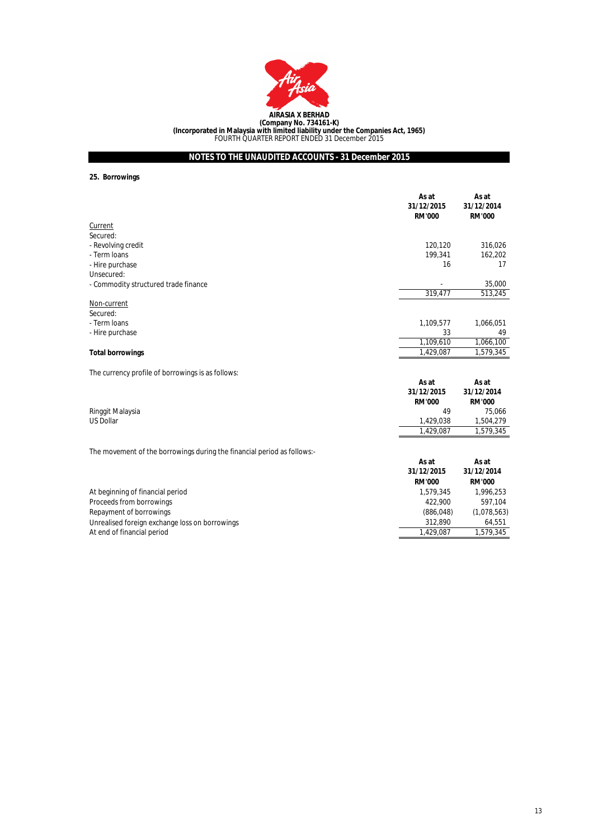

**25. Borrowings**

Unrealised foreign exchange loss on borrowings

At end of financial period

|                                                                         | As at<br>31/12/2015<br><b>RM'000</b> | As at<br>31/12/2014<br><b>RM'000</b> |
|-------------------------------------------------------------------------|--------------------------------------|--------------------------------------|
| Current                                                                 |                                      |                                      |
| Secured:                                                                |                                      |                                      |
| - Revolving credit                                                      | 120,120                              | 316,026                              |
| - Term Ioans                                                            | 199,341                              | 162,202                              |
| - Hire purchase                                                         | 16                                   | 17                                   |
| Unsecured:                                                              |                                      |                                      |
| - Commodity structured trade finance                                    |                                      | 35,000                               |
|                                                                         | 319,477                              | 513,245                              |
| Non-current                                                             |                                      |                                      |
| Secured:                                                                |                                      |                                      |
| - Term Ioans                                                            | 1,109,577                            | 1,066,051                            |
| - Hire purchase                                                         | 33                                   | 49                                   |
|                                                                         | 1,109,610                            | 1,066,100                            |
| <b>Total borrowings</b>                                                 | 1,429,087                            | 1,579,345                            |
|                                                                         |                                      |                                      |
| The currency profile of borrowings is as follows:                       |                                      |                                      |
|                                                                         | As at                                | As at                                |
|                                                                         | 31/12/2015                           | 31/12/2014                           |
|                                                                         | <b>RM'000</b>                        | <b>RM'000</b>                        |
| Ringgit Malaysia                                                        | 49                                   | 75,066                               |
| <b>US Dollar</b>                                                        | 1,429,038                            | 1,504,279                            |
|                                                                         | 1,429,087                            | 1,579,345                            |
|                                                                         |                                      |                                      |
| The movement of the borrowings during the financial period as follows:- |                                      |                                      |
|                                                                         | As at                                | As at                                |
|                                                                         | 31/12/2015                           | 31/12/2014                           |
|                                                                         | <b>RM'000</b>                        | <b>RM'000</b>                        |
| At beginning of financial period                                        | 1,579,345                            | 1,996,253                            |
| Proceeds from borrowings                                                | 422,900                              | 597,104                              |
| Repayment of borrowings                                                 | (886, 048)                           | (1,078,563)                          |

1,579,345

1,429,087

312,890 64,551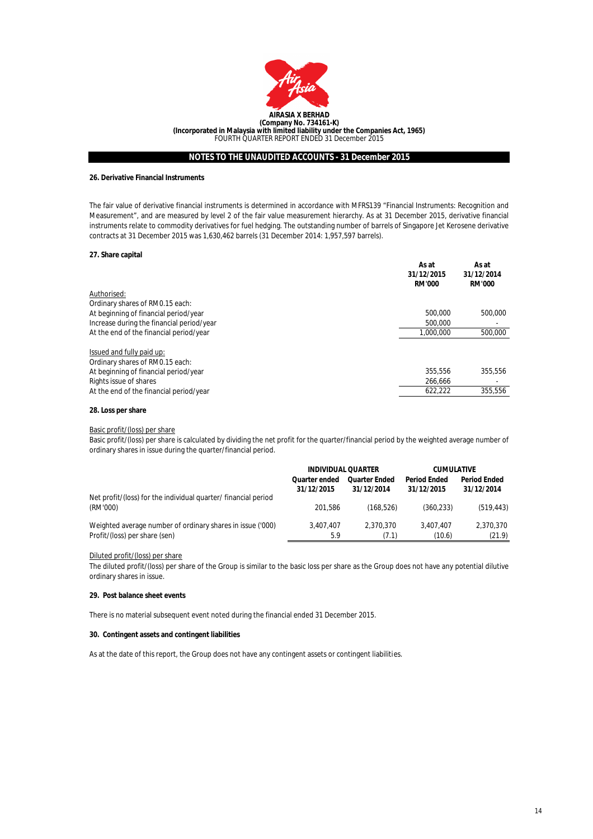

#### **26. Derivative Financial Instruments**

The fair value of derivative financial instruments is determined in accordance with MFRS139 "Financial Instruments: Recognition and Measurement", and are measured by level 2 of the fair value measurement hierarchy. As at 31 December 2015, derivative financial instruments relate to commodity derivatives for fuel hedging. The outstanding number of barrels of Singapore Jet Kerosene derivative contracts at 31 December 2015 was 1,630,462 barrels (31 December 2014: 1,957,597 barrels).

#### **27. Share capital**

|                                                              | As at<br>31/12/2015<br><b>RM'000</b> | As at<br>31/12/2014<br><b>RM'000</b> |
|--------------------------------------------------------------|--------------------------------------|--------------------------------------|
| Authorised:                                                  |                                      |                                      |
| Ordinary shares of RM0.15 each:                              |                                      |                                      |
| At beginning of financial period/year                        | 500,000                              | 500.000                              |
| Increase during the financial period/year                    | 500,000                              | ۰                                    |
| At the end of the financial period/year                      | 1.000.000                            | 500,000                              |
| Issued and fully paid up:<br>Ordinary shares of RM0.15 each: |                                      |                                      |
| At beginning of financial period/year                        | 355.556                              | 355.556                              |
| Rights issue of shares                                       | 266,666                              | ٠                                    |
| At the end of the financial period/year                      | 622,222                              | 355,556                              |
|                                                              |                                      |                                      |

### **28. Loss per share**

Basic profit/(loss) per share

Basic profit/(loss) per share is calculated by dividing the net profit for the quarter/financial period by the weighted average number of ordinary shares in issue during the quarter/financial period.

|                                                                            | <b>INDIVIDUAL QUARTER</b> |                      | <b>CUMULATIVE</b>   |                     |
|----------------------------------------------------------------------------|---------------------------|----------------------|---------------------|---------------------|
|                                                                            | <b>Quarter ended</b>      | <b>Quarter Ended</b> | <b>Period Ended</b> | <b>Period Ended</b> |
|                                                                            | 31/12/2015                | 31/12/2014           | 31/12/2015          | 31/12/2014          |
| Net profit/(loss) for the individual quarter/ financial period<br>(RM'000) | 201.586                   | (168.526)            | (360.233)           | (519, 443)          |
| Weighted average number of ordinary shares in issue ('000)                 | 3.407.407                 | 2.370.370            | 3.407.407           | 2,370,370           |
| Profit/(loss) per share (sen)                                              | 5.9                       | (7.1)                | (10.6)              | (21.9)              |

#### Diluted profit/(loss) per share

The diluted profit/(loss) per share of the Group is similar to the basic loss per share as the Group does not have any potential dilutive ordinary shares in issue.

#### **29. Post balance sheet events**

There is no material subsequent event noted during the financial ended 31 December 2015.

#### **30. Contingent assets and contingent liabilities**

As at the date of this report, the Group does not have any contingent assets or contingent liabilities.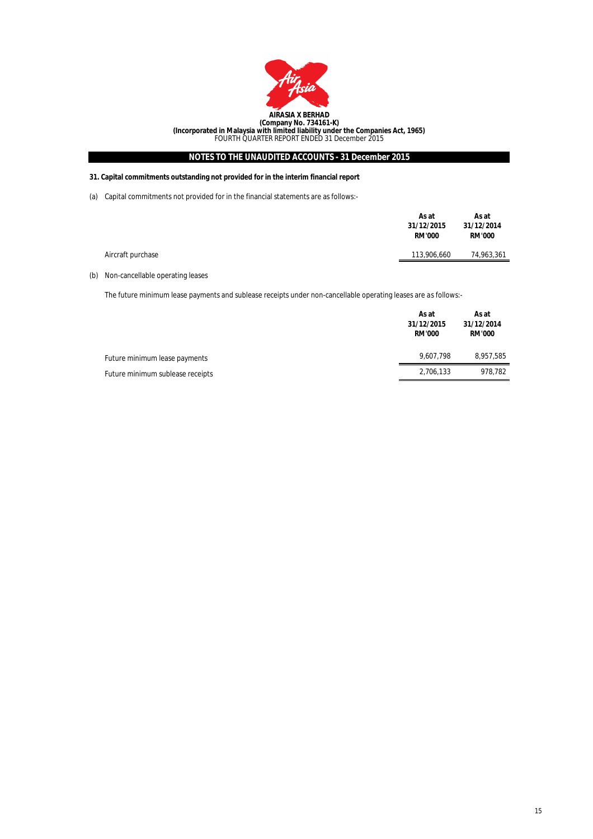

## **31. Capital commitments outstanding not provided for in the interim financial report**

(a) Capital commitments not provided for in the financial statements are as follows:-

|                   | As at<br>31/12/2015<br><b>RM'000</b> | As at<br>31/12/2014<br><b>RM'000</b> |
|-------------------|--------------------------------------|--------------------------------------|
| Aircraft purchase | 113,906,660                          | 74,963,361                           |

## (b) Non-cancellable operating leases

The future minimum lease payments and sublease receipts under non-cancellable operating leases are as follows:-

|                                  | As at<br>31/12/2015<br><b>RM'000</b> | As at<br>31/12/2014<br><b>RM'000</b> |
|----------------------------------|--------------------------------------|--------------------------------------|
| Future minimum lease payments    | 9,607,798                            | 8,957,585                            |
| Future minimum sublease receipts | 2,706,133                            | 978.782                              |
|                                  |                                      |                                      |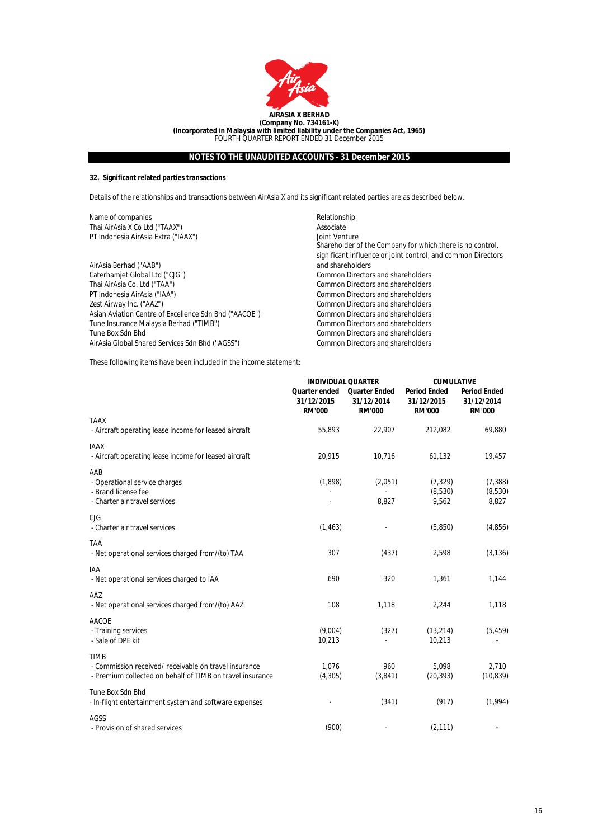

## **32. Significant related parties transactions**

Details of the relationships and transactions between AirAsia X and its significant related parties are as described below.

| Name of companies                                     | Relationship                                                 |
|-------------------------------------------------------|--------------------------------------------------------------|
| Thai AirAsia X Co Ltd ("TAAX")                        | Associate                                                    |
| PT Indonesia AirAsia Extra ("IAAX")                   | Joint Venture                                                |
|                                                       | Shareholder of the Company for which there is no control,    |
|                                                       | significant influence or joint control, and common Directors |
| AirAsia Berhad ("AAB")                                | and shareholders                                             |
| Caterhamjet Global Ltd ("CJG")                        | Common Directors and shareholders                            |
| Thai AirAsia Co. Ltd ("TAA")                          | Common Directors and shareholders                            |
| PT Indonesia AirAsia ("IAA")                          | Common Directors and shareholders                            |
| Zest Airway Inc. ("AAZ")                              | Common Directors and shareholders                            |
| Asian Aviation Centre of Excellence Sdn Bhd ("AACOE") | Common Directors and shareholders                            |
| Tune Insurance Malaysia Berhad ("TIMB")               | Common Directors and shareholders                            |
| Tune Box Sdn Bhd                                      | Common Directors and shareholders                            |
| AirAsia Global Shared Services Sdn Bhd ("AGSS")       | Common Directors and shareholders                            |

These following items have been included in the income statement:

|                                                                                                                                   | <b>INDIVIDUAL QUARTER</b>                    |                                                     | <b>CUMULATIVE</b>                                  |                                                    |
|-----------------------------------------------------------------------------------------------------------------------------------|----------------------------------------------|-----------------------------------------------------|----------------------------------------------------|----------------------------------------------------|
|                                                                                                                                   | Quarter ended<br>31/12/2015<br><b>RM'000</b> | <b>Quarter Ended</b><br>31/12/2014<br><b>RM'000</b> | <b>Period Ended</b><br>31/12/2015<br><b>RM'000</b> | <b>Period Ended</b><br>31/12/2014<br><b>RM'000</b> |
| <b>TAAX</b><br>- Aircraft operating lease income for leased aircraft                                                              | 55,893                                       | 22,907                                              | 212,082                                            | 69,880                                             |
| <b>IAAX</b><br>- Aircraft operating lease income for leased aircraft                                                              | 20,915                                       | 10,716                                              | 61,132                                             | 19,457                                             |
| AAB<br>- Operational service charges<br>- Brand license fee<br>- Charter air travel services                                      | (1,898)                                      | (2,051)<br>8,827                                    | (7, 329)<br>(8,530)<br>9,562                       | (7, 388)<br>(8,530)<br>8,827                       |
| CIG<br>- Charter air travel services                                                                                              | (1, 463)                                     |                                                     | (5,850)                                            | (4,856)                                            |
| <b>TAA</b><br>- Net operational services charged from/(to) TAA                                                                    | 307                                          | (437)                                               | 2,598                                              | (3, 136)                                           |
| <b>IAA</b><br>- Net operational services charged to IAA                                                                           | 690                                          | 320                                                 | 1,361                                              | 1,144                                              |
| AAZ<br>- Net operational services charged from/(to) AAZ                                                                           | 108                                          | 1,118                                               | 2,244                                              | 1,118                                              |
| <b>AACOE</b><br>- Training services<br>- Sale of DPE kit                                                                          | (9,004)<br>10,213                            | (327)                                               | (13, 214)<br>10,213                                | (5, 459)                                           |
| <b>TIMB</b><br>- Commission received/ receivable on travel insurance<br>- Premium collected on behalf of TIMB on travel insurance | 1.076<br>(4, 305)                            | 960<br>(3,841)                                      | 5.098<br>(20, 393)                                 | 2,710<br>(10, 839)                                 |
| Tune Box Sdn Bhd<br>- In-flight entertainment system and software expenses                                                        |                                              | (341)                                               | (917)                                              | (1,994)                                            |
| AGSS<br>- Provision of shared services                                                                                            | (900)                                        |                                                     | (2, 111)                                           |                                                    |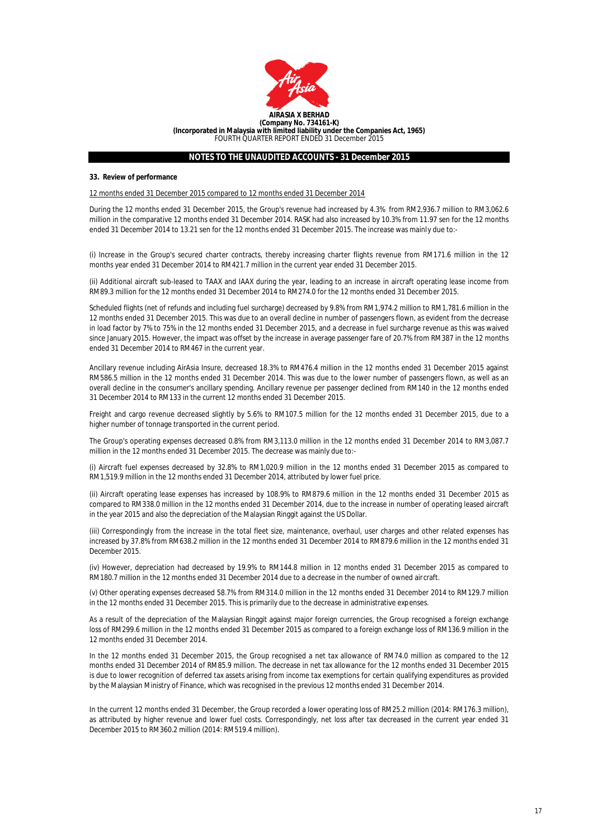

#### **33. Review of performance**

12 months ended 31 December 2015 compared to 12 months ended 31 December 2014

During the 12 months ended 31 December 2015, the Group's revenue had increased by 4.3% from RM2,936.7 million to RM3,062.6 million in the comparative 12 months ended 31 December 2014. RASK had also increased by 10.3% from 11.97 sen for the 12 months ended 31 December 2014 to 13.21 sen for the 12 months ended 31 December 2015. The increase was mainly due to:-

(i) Increase in the Group's secured charter contracts, thereby increasing charter flights revenue from RM171.6 million in the 12 months year ended 31 December 2014 to RM421.7 million in the current year ended 31 December 2015.

(ii) Additional aircraft sub-leased to TAAX and IAAX during the year, leading to an increase in aircraft operating lease income from RM89.3 million for the 12 months ended 31 December 2014 to RM274.0 for the 12 months ended 31 December 2015.

Scheduled flights (net of refunds and including fuel surcharge) decreased by 9.8% from RM1,974.2 million to RM1,781.6 million in the 12 months ended 31 December 2015. This was due to an overall decline in number of passengers flown, as evident from the decrease in load factor by 7% to 75% in the 12 months ended 31 December 2015, and a decrease in fuel surcharge revenue as this was waived since January 2015. However, the impact was offset by the increase in average passenger fare of 20.7% from RM387 in the 12 months ended 31 December 2014 to RM467 in the current year.

Ancillary revenue including AirAsia Insure, decreased 18.3% to RM476.4 million in the 12 months ended 31 December 2015 against RM586.5 million in the 12 months ended 31 December 2014. This was due to the lower number of passengers flown, as well as an overall decline in the consumer's ancillary spending. Ancillary revenue per passenger declined from RM140 in the 12 months ended 31 December 2014 to RM133 in the current 12 months ended 31 December 2015.

Freight and cargo revenue decreased slightly by 5.6% to RM107.5 million for the 12 months ended 31 December 2015, due to a higher number of tonnage transported in the current period.

The Group's operating expenses decreased 0.8% from RM3,113.0 million in the 12 months ended 31 December 2014 to RM3,087.7 million in the 12 months ended 31 December 2015. The decrease was mainly due to:-

(i) Aircraft fuel expenses decreased by 32.8% to RM1,020.9 million in the 12 months ended 31 December 2015 as compared to RM1,519.9 million in the 12 months ended 31 December 2014, attributed by lower fuel price.

(ii) Aircraft operating lease expenses has increased by 108.9% to RM879.6 million in the 12 months ended 31 December 2015 as compared to RM338.0 million in the 12 months ended 31 December 2014, due to the increase in number of operating leased aircraft in the year 2015 and also the depreciation of the Malaysian Ringgit against the US Dollar.

(iii) Correspondingly from the increase in the total fleet size, maintenance, overhaul, user charges and other related expenses has increased by 37.8% from RM638.2 million in the 12 months ended 31 December 2014 to RM879.6 million in the 12 months ended 31 December 2015.

(iv) However, depreciation had decreased by 19.9% to RM144.8 million in 12 months ended 31 December 2015 as compared to RM180.7 million in the 12 months ended 31 December 2014 due to a decrease in the number of owned aircraft.

(v) Other operating expenses decreased 58.7% from RM314.0 million in the 12 months ended 31 December 2014 to RM129.7 million in the 12 months ended 31 December 2015. This is primarily due to the decrease in administrative expenses.

As a result of the depreciation of the Malaysian Ringgit against major foreign currencies, the Group recognised a foreign exchange loss of RM299.6 million in the 12 months ended 31 December 2015 as compared to a foreign exchange loss of RM136.9 million in the 12 months ended 31 December 2014.

In the 12 months ended 31 December 2015, the Group recognised a net tax allowance of RM74.0 million as compared to the 12 months ended 31 December 2014 of RM85.9 million. The decrease in net tax allowance for the 12 months ended 31 December 2015 is due to lower recognition of deferred tax assets arising from income tax exemptions for certain qualifying expenditures as provided by the Malaysian Ministry of Finance, which was recognised in the previous 12 months ended 31 December 2014.

In the current 12 months ended 31 December, the Group recorded a lower operating loss of RM25.2 million (2014: RM176.3 million), as attributed by higher revenue and lower fuel costs. Correspondingly, net loss after tax decreased in the current year ended 31 December 2015 to RM360.2 million (2014: RM519.4 million).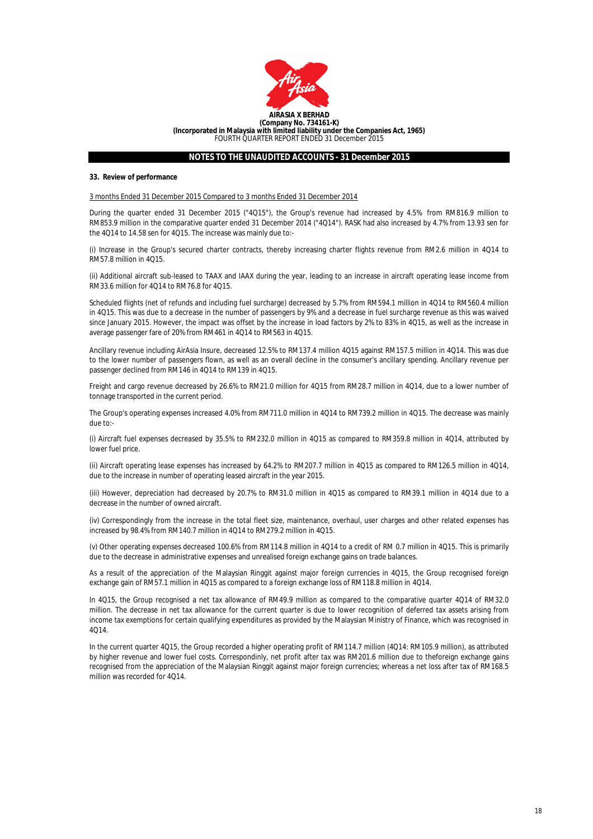

#### **33. Review of performance**

3 months Ended 31 December 2015 Compared to 3 months Ended 31 December 2014

During the quarter ended 31 December 2015 ("4Q15"), the Group's revenue had increased by 4.5% from RM816.9 million to RM853.9 million in the comparative quarter ended 31 December 2014 ("4Q14"). RASK had also increased by 4.7% from 13.93 sen for the 4Q14 to 14.58 sen for 4Q15. The increase was mainly due to:-

(i) Increase in the Group's secured charter contracts, thereby increasing charter flights revenue from RM2.6 million in 4Q14 to RM57.8 million in 4Q15.

(ii) Additional aircraft sub-leased to TAAX and IAAX during the year, leading to an increase in aircraft operating lease income from RM33.6 million for 4Q14 to RM76.8 for 4Q15.

Scheduled flights (net of refunds and including fuel surcharge) decreased by 5.7% from RM594.1 million in 4Q14 to RM560.4 million in 4Q15. This was due to a decrease in the number of passengers by 9% and a decrease in fuel surcharge revenue as this was waived since January 2015. However, the impact was offset by the increase in load factors by 2% to 83% in 4Q15, as well as the increase in average passenger fare of 20% from RM461 in 4Q14 to RM563 in 4Q15.

Ancillary revenue including AirAsia Insure, decreased 12.5% to RM137.4 million 4Q15 against RM157.5 million in 4Q14. This was due to the lower number of passengers flown, as well as an overall decline in the consumer's ancillary spending. Ancillary revenue per passenger declined from RM146 in 4Q14 to RM139 in 4Q15.

Freight and cargo revenue decreased by 26.6% to RM21.0 million for 4Q15 from RM28.7 million in 4Q14, due to a lower number of tonnage transported in the current period.

The Group's operating expenses increased 4.0% from RM711.0 million in 4Q14 to RM739.2 million in 4Q15. The decrease was mainly due to:-

(i) Aircraft fuel expenses decreased by 35.5% to RM232.0 million in 4Q15 as compared to RM359.8 million in 4Q14, attributed by lower fuel price.

(ii) Aircraft operating lease expenses has increased by 64.2% to RM207.7 million in 4Q15 as compared to RM126.5 million in 4Q14, due to the increase in number of operating leased aircraft in the year 2015.

(iii) However, depreciation had decreased by 20.7% to RM31.0 million in 4Q15 as compared to RM39.1 million in 4Q14 due to a decrease in the number of owned aircraft.

(iv) Correspondingly from the increase in the total fleet size, maintenance, overhaul, user charges and other related expenses has increased by 98.4% from RM140.7 million in 4Q14 to RM279.2 million in 4Q15.

(v) Other operating expenses decreased 100.6% from RM114.8 million in 4Q14 to a credit of RM 0.7 million in 4Q15. This is primarily due to the decrease in administrative expenses and unrealised foreign exchange gains on trade balances.

As a result of the appreciation of the Malaysian Ringgit against major foreign currencies in 4Q15, the Group recognised foreign exchange gain of RM57.1 million in 4Q15 as compared to a foreign exchange loss of RM118.8 million in 4Q14.

In 4Q15, the Group recognised a net tax allowance of RM49.9 million as compared to the comparative quarter 4Q14 of RM32.0 million. The decrease in net tax allowance for the current quarter is due to lower recognition of deferred tax assets arising from income tax exemptions for certain qualifying expenditures as provided by the Malaysian Ministry of Finance, which was recognised in 4Q14.

In the current quarter 4Q15, the Group recorded a higher operating profit of RM114.7 million (4Q14: RM105.9 million), as attributed by higher revenue and lower fuel costs. Correspondinly, net profit after tax was RM201.6 million due to theforeign exchange gains recognised from the appreciation of the Malaysian Ringgit against major foreign currencies; whereas a net loss after tax of RM168.5 million was recorded for 4Q14.